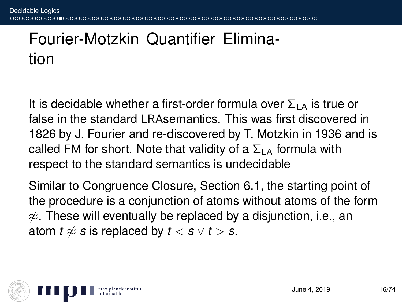## Fourier-Motzkin Quantifier Elimination

It is decidable whether a first-order formula over  $\Sigma_{LA}$  is true or false in the standard LRAsemantics. This was first discovered in 1826 by J. Fourier and re-discovered by T. Motzkin in 1936 and is called FM for short. Note that validity of a  $\Sigma_{LA}$  formula with respect to the standard semantics is undecidable

Similar to Congruence Closure, Section 6.1, the starting point of the procedure is a conjunction of atoms without atoms of the form  $\approx$ . These will eventually be replaced by a disjunction, i.e., an atom  $t \approx s$  is replaced by  $t < s \vee t > s$ .

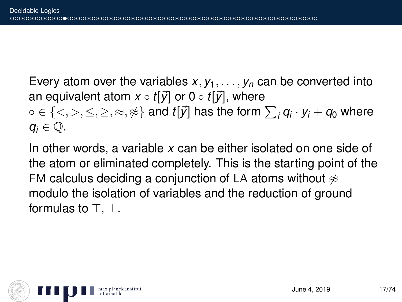Every atom over the variables  $x, y_1, \ldots, y_n$  can be converted into an equivalent atom  $x \circ t[\vec{y}]$  or  $0 \circ t[\vec{y}]$ , where  $\circ \in \{<,>,\leq,\geq,\approx,\not\approx\}$  and  $t[\vec{y}]$  has the form  $\sum_i\textit{q}_i\cdot\textit{y}_i+\textit{q}_0$  where  $q_i \in \mathbb{Q}$ .

In other words, a variable *x* can be either isolated on one side of the atom or eliminated completely. This is the starting point of the FM calculus deciding a conjunction of LA atoms without  $\approx$ modulo the isolation of variables and the reduction of ground formulas to  $\top$ .  $\bot$ .

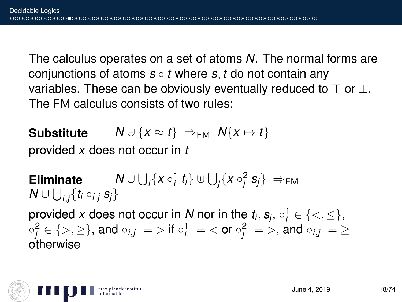The calculus operates on a set of atoms *N*. The normal forms are conjunctions of atoms *s* ◦ *t* where *s*, *t* do not contain any variables. These can be obviously eventually reduced to  $\top$  or  $\bot$ . The FM calculus consists of two rules:

**Substitute**  $N \oplus \{x \approx t\} \Rightarrow_{\text{FM}} N\{x \mapsto t\}$ provided *x* does not occur in *t*

**Eliminate**  $\bigcup_i \{x \circ_i^1 t_i\} \uplus \bigcup_j \{x \circ_j^2 s_j\} \implies_{\mathsf{FM}}$  $\mathcal{N} \cup \bigcup_{i,j} \{ t_i \circ_{i.j} s_j \}$ provided *x* does not occur in *N* nor in the  $t_i$ ,  $s_j$ ,  $\circ_i^1 \in \{<,\leq\}$ ,  $\circ_j^2 \in \{>,\geq\},$  and  $\circ_{i,j}\ =\ >$  if  $\circ_j^1\ =\ <$  or  $\circ_j^2\ =\ >,$  and  $\circ_{i,j}\ =\ \geq\$ otherwise

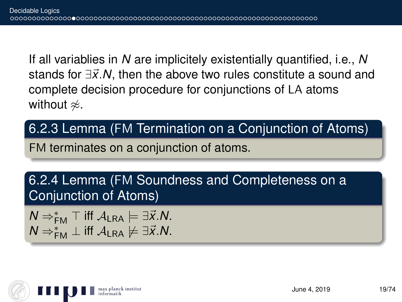If all variablies in *N* are implicitely existentially quantified, i.e., *N* stands for ∃x<sup>*'*</sup>.N, then the above two rules constitute a sound and complete decision procedure for conjunctions of LA atoms without  $\approx$ .

## 6.2.3 Lemma (FM Termination on a Conjunction of Atoms)

FM terminates on a conjunction of atoms.

6.2.4 Lemma (FM Soundness and Completeness on a Conjunction of Atoms)

 $N \Rightarrow^*_{\mathsf{FM}} \top$  iff  $\mathcal{A}_{\mathsf{LRA}} \models \exists \vec{x} . \mathcal{N}$ .  $N \Rightarrow^*_{\mathsf{FM}} \bot$  iff  $\mathcal{A}_{\mathsf{LRA}} \not\models \exists \vec{x}.N$ .

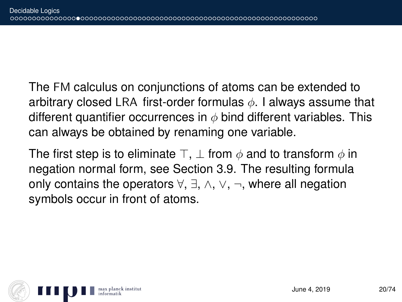The FM calculus on conjunctions of atoms can be extended to arbitrary closed LRA first-order formulas  $\phi$ . I always assume that different quantifier occurrences in  $\phi$  bind different variables. This can always be obtained by renaming one variable.

The first step is to eliminate  $\top$ ,  $\bot$  from  $\phi$  and to transform  $\phi$  in negation normal form, see Section 3.9. The resulting formula only contains the operators ∀, ∃, ∧, ∨, ¬, where all negation symbols occur in front of atoms.

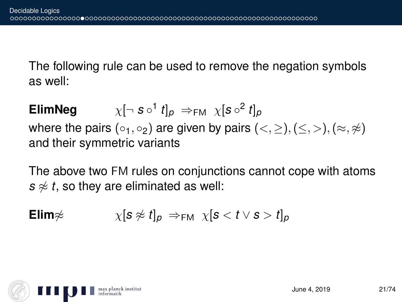The following rule can be used to remove the negation symbols as well:

**ElimNeg**  $^1$   $t]_p$   $\Rightarrow_{\mathsf{FM}}$   $\chi[\mathsf{s} \circ^2 t]_p$ where the pairs (∘<sub>1</sub>, ∘<sub>2</sub>) are given by pairs (<, ≥), (≤, >), (≈, ≉) and their symmetric variants

The above two FM rules on conjunctions cannot cope with atoms  $s \not\approx t$ , so they are eliminated as well:

**Elim**
$$
\not\approx \quad \quad \chi[\mathbf{s} \not\approx t]_p \Rightarrow_{\mathsf{FM}} \quad \chi[\mathbf{s} < t \vee \mathbf{s} > t]_p
$$

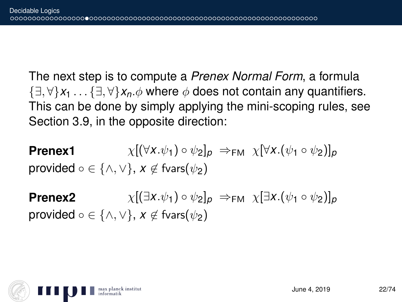The next step is to compute a *Prenex Normal Form*, a formula {∃, ∀}*x*<sup>1</sup> . . . {∃, ∀}*xn*.φ where φ does not contain any quantifiers. This can be done by simply applying the mini-scoping rules, see Section 3.9, in the opposite direction:

**Prenex1**  $\chi[(\forall x \cdot \psi_1) \circ \psi_2]_p \Rightarrow_{\text{FM}} \chi[\forall x \cdot (\psi_1 \circ \psi_2)]_p$ provided  $\circ \in \{\wedge, \vee\}$ ,  $x \notin$  fvars( $\psi_2$ )

**Prenex2**  $\chi$ [ $(\exists x.\psi_1) \circ \psi_2$ ]<sub>*p*</sub>  $\Rightarrow$ <sub>FM</sub>  $\chi$  $[\exists x.(\psi_1 \circ \psi_2)]_p$ provided  $\circ \in \{\wedge, \vee\}$ ,  $x \notin$  fvars( $\psi_2$ )

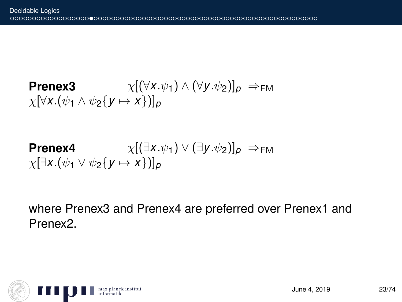**Prenex3**  $\chi[(\forall x.\psi_1) \wedge (\forall y.\psi_2)]_p \Rightarrow_{FM}$  $\chi[\forall x.(\psi_1 \land \psi_2{y \mapsto x}]_p$ 

**Prenex4** 
$$
\chi[(\exists x.\psi_1) \vee (\exists y.\psi_2)]_p \Rightarrow_{FM}
$$

$$
\chi[\exists x.(\psi_1 \vee \psi_2 \{y \mapsto x\})]_p
$$

where Prenex3 and Prenex4 are preferred over Prenex1 and Prenex2.

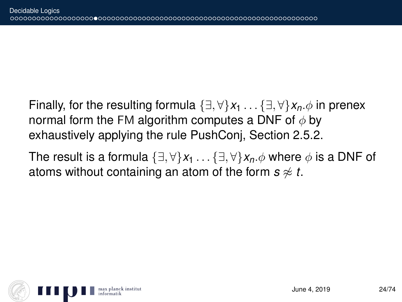Finally, for the resulting formula  $\{\exists, \forall\}x_1 \dots \{\exists, \forall\}x_n \phi$  in prenex normal form the FM algorithm computes a DNF of  $\phi$  by exhaustively applying the rule PushConj, Section 2.5.2.

The result is a formula  $\{\exists, \forall\}x_1 \dots \{\exists, \forall\}x_n \phi$  where  $\phi$  is a DNF of atoms without containing an atom of the form  $s \approx t$ .

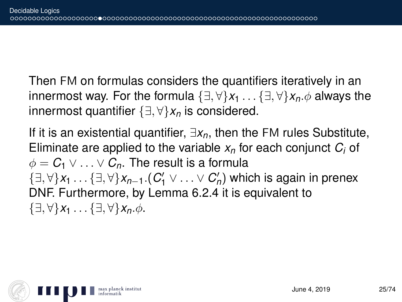Then FM on formulas considers the quantifiers iteratively in an innermost way. For the formula  $\{\exists, \forall\}x_1 \dots \{\exists, \forall\}x_n \phi$  always the innermost quantifier {∃, ∀}*x<sup>n</sup>* is considered.

If it is an existential quantifier, ∃*xn*, then the FM rules Substitute, Eliminate are applied to the variable *x<sup>n</sup>* for each conjunct *C<sup>i</sup>* of  $\phi = C_1 \vee \ldots \vee C_n$ . The result is a formula {∃, ∀}*x*<sup>1</sup> . . . {∃, ∀}*xn*−1.(*C* 0 <sup>1</sup> ∨ . . . ∨ *C* 0 *n* ) which is again in prenex DNF. Furthermore, by Lemma 6.2.4 it is equivalent to  $\{\exists, \forall\}x_1 \ldots \{\exists, \forall\}x_n.\phi.$ 

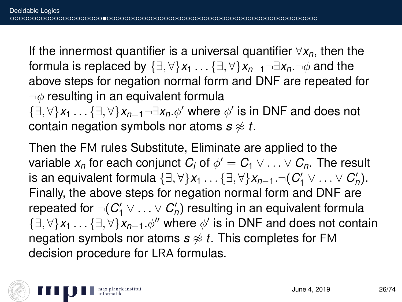If the innermost quantifier is a universal quantifier ∀*xn*, then the formula is replaced by  $\{\exists, \forall\}x_1 \dots \{\exists, \forall\}x_{n-1} \neg \exists x_n \neg \phi$  and the above steps for negation normal form and DNF are repeated for  $\neg\phi$  resulting in an equivalent formula

{∃, ∀}*x*<sup>1</sup> . . . {∃, ∀}*xn*−1¬∃*xn*.φ<sup>0</sup> where φ 0 is in DNF and does not contain negation symbols nor atoms  $s \not\approx t$ .

Then the FM rules Substitute, Eliminate are applied to the variable  $x_n$  for each conjunct  $C_i$  of  $\phi' = C_1 \vee \ldots \vee C_n.$  The result is an equivalent formula  $\{\exists, \forall\}x_1 \ldots \{\exists, \forall\}x_{n-1}.\neg(C'_1 \vee \ldots \vee C'_n).$ Finally, the above steps for negation normal form and DNF are repeated for  $\neg(C'_1 \vee \ldots \vee C'_n)$  resulting in an equivalent formula {∃, ∀}*x*<sup>1</sup> . . . {∃, ∀}*xn*−1.φ<sup>00</sup> where φ 0 is in DNF and does not contain negation symbols nor atoms  $s \not\approx t$ . This completes for FM decision procedure for LRA formulas.

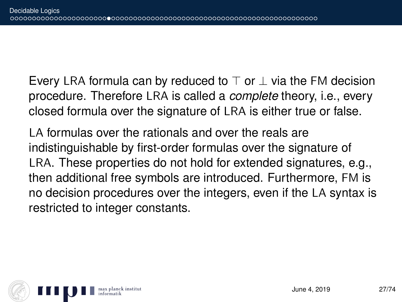Every LRA formula can by reduced to  $\top$  or  $\bot$  via the FM decision procedure. Therefore LRA is called a *complete* theory, i.e., every closed formula over the signature of LRA is either true or false.

LA formulas over the rationals and over the reals are indistinguishable by first-order formulas over the signature of LRA. These properties do not hold for extended signatures, e.g., then additional free symbols are introduced. Furthermore, FM is no decision procedures over the integers, even if the LA syntax is restricted to integer constants.

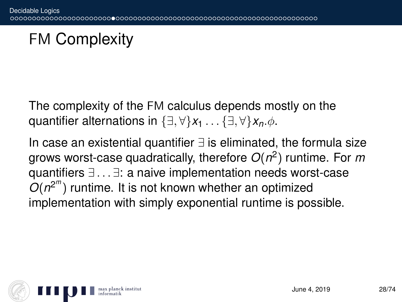## FM Complexity

The complexity of the FM calculus depends mostly on the quantifier alternations in  $\{\exists, \forall\}x_1 \dots \{\exists, \forall\}x_n \phi$ .

In case an existential quantifier ∃ is eliminated, the formula size grows worst-case quadratically, therefore *O*(*n* 2 ) runtime. For *m* quantifiers ∃ . . . ∃: a naive implementation needs worst-case  $O(n^{2^m})$  runtime. It is not known whether an optimized implementation with simply exponential runtime is possible.